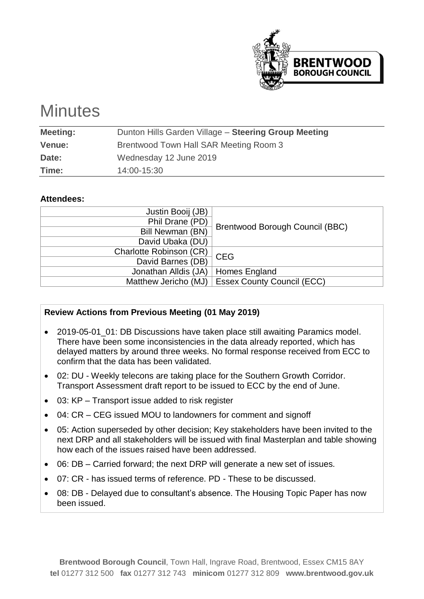

# **Minutes**

| <b>Meeting:</b> | Dunton Hills Garden Village - Steering Group Meeting |
|-----------------|------------------------------------------------------|
| <b>Venue:</b>   | Brentwood Town Hall SAR Meeting Room 3               |
| Date:           | Wednesday 12 June 2019                               |
| Time:           | 14:00-15:30                                          |
|                 |                                                      |

#### **Attendees:**

| Justin Booij (JB)       |                                   |
|-------------------------|-----------------------------------|
| Phil Drane (PD)         |                                   |
| Bill Newman (BN)        | Brentwood Borough Council (BBC)   |
| David Ubaka (DU)        |                                   |
| Charlotte Robinson (CR) | <b>CEG</b>                        |
| David Barnes (DB)       |                                   |
| Jonathan Alldis (JA)    | Homes England                     |
| Matthew Jericho (MJ)    | <b>Essex County Council (ECC)</b> |

# **Review Actions from Previous Meeting (01 May 2019)**

- 2019-05-01 01: DB Discussions have taken place still awaiting Paramics model. There have been some inconsistencies in the data already reported, which has delayed matters by around three weeks. No formal response received from ECC to confirm that the data has been validated.
- 02: DU Weekly telecons are taking place for the Southern Growth Corridor. Transport Assessment draft report to be issued to ECC by the end of June.
- 03: KP Transport issue added to risk register
- 04: CR CEG issued MOU to landowners for comment and signoff
- 05: Action superseded by other decision; Key stakeholders have been invited to the next DRP and all stakeholders will be issued with final Masterplan and table showing how each of the issues raised have been addressed.
- 06: DB Carried forward; the next DRP will generate a new set of issues.
- 07: CR has issued terms of reference. PD These to be discussed.
- 08: DB Delayed due to consultant's absence. The Housing Topic Paper has now been issued.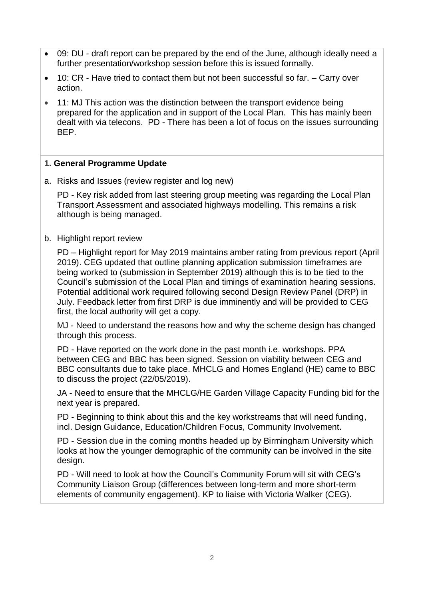- 09: DU draft report can be prepared by the end of the June, although ideally need a further presentation/workshop session before this is issued formally.
- 10: CR Have tried to contact them but not been successful so far. Carry over action.
- 11: MJ This action was the distinction between the transport evidence being prepared for the application and in support of the Local Plan. This has mainly been dealt with via telecons. PD - There has been a lot of focus on the issues surrounding BEP.

#### **1. General Programme Update**

a. Risks and Issues (review register and log new)

PD - Key risk added from last steering group meeting was regarding the Local Plan Transport Assessment and associated highways modelling. This remains a risk although is being managed.

b. Highlight report review

PD – Highlight report for May 2019 maintains amber rating from previous report (April 2019). CEG updated that outline planning application submission timeframes are being worked to (submission in September 2019) although this is to be tied to the Council's submission of the Local Plan and timings of examination hearing sessions. Potential additional work required following second Design Review Panel (DRP) in July. Feedback letter from first DRP is due imminently and will be provided to CEG first, the local authority will get a copy.

MJ - Need to understand the reasons how and why the scheme design has changed through this process.

PD - Have reported on the work done in the past month i.e. workshops. PPA between CEG and BBC has been signed. Session on viability between CEG and BBC consultants due to take place. MHCLG and Homes England (HE) came to BBC to discuss the project (22/05/2019).

JA - Need to ensure that the MHCLG/HE Garden Village Capacity Funding bid for the next year is prepared.

PD - Beginning to think about this and the key workstreams that will need funding, incl. Design Guidance, Education/Children Focus, Community Involvement.

PD - Session due in the coming months headed up by Birmingham University which looks at how the younger demographic of the community can be involved in the site design.

PD - Will need to look at how the Council's Community Forum will sit with CEG's Community Liaison Group (differences between long-term and more short-term elements of community engagement). KP to liaise with Victoria Walker (CEG).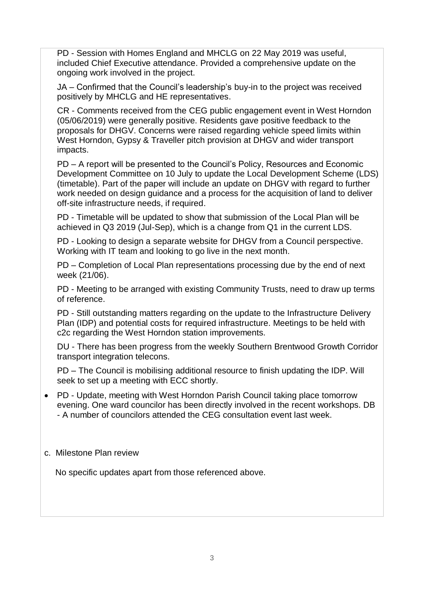PD - Session with Homes England and MHCLG on 22 May 2019 was useful, included Chief Executive attendance. Provided a comprehensive update on the ongoing work involved in the project.

JA – Confirmed that the Council's leadership's buy-in to the project was received positively by MHCLG and HE representatives.

CR - Comments received from the CEG public engagement event in West Horndon (05/06/2019) were generally positive. Residents gave positive feedback to the proposals for DHGV. Concerns were raised regarding vehicle speed limits within West Horndon, Gypsy & Traveller pitch provision at DHGV and wider transport impacts.

PD – A report will be presented to the Council's Policy, Resources and Economic Development Committee on 10 July to update the Local Development Scheme (LDS) (timetable). Part of the paper will include an update on DHGV with regard to further work needed on design guidance and a process for the acquisition of land to deliver off-site infrastructure needs, if required.

PD - Timetable will be updated to show that submission of the Local Plan will be achieved in Q3 2019 (Jul-Sep), which is a change from Q1 in the current LDS.

PD - Looking to design a separate website for DHGV from a Council perspective. Working with IT team and looking to go live in the next month.

PD – Completion of Local Plan representations processing due by the end of next week (21/06).

PD - Meeting to be arranged with existing Community Trusts, need to draw up terms of reference.

PD - Still outstanding matters regarding on the update to the Infrastructure Delivery Plan (IDP) and potential costs for required infrastructure. Meetings to be held with c2c regarding the West Horndon station improvements.

DU - There has been progress from the weekly Southern Brentwood Growth Corridor transport integration telecons.

PD – The Council is mobilising additional resource to finish updating the IDP. Will seek to set up a meeting with ECC shortly.

• PD - Update, meeting with West Horndon Parish Council taking place tomorrow evening. One ward councilor has been directly involved in the recent workshops. DB - A number of councilors attended the CEG consultation event last week.

# c. Milestone Plan review

No specific updates apart from those referenced above.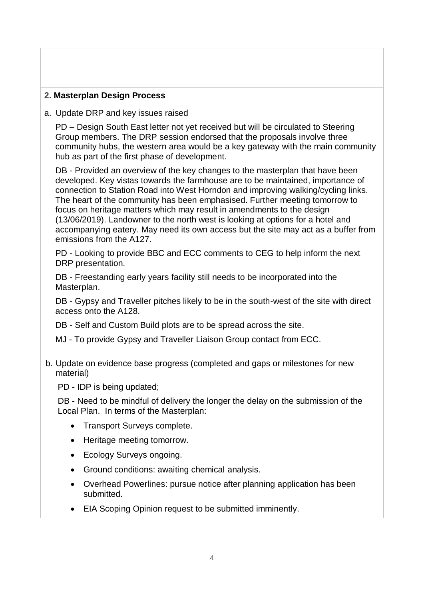# **2. Masterplan Design Process**

#### a. Update DRP and key issues raised

PD – Design South East letter not yet received but will be circulated to Steering Group members. The DRP session endorsed that the proposals involve three community hubs, the western area would be a key gateway with the main community hub as part of the first phase of development.

DB - Provided an overview of the key changes to the masterplan that have been developed. Key vistas towards the farmhouse are to be maintained, importance of connection to Station Road into West Horndon and improving walking/cycling links. The heart of the community has been emphasised. Further meeting tomorrow to focus on heritage matters which may result in amendments to the design (13/06/2019). Landowner to the north west is looking at options for a hotel and accompanying eatery. May need its own access but the site may act as a buffer from emissions from the A127.

PD - Looking to provide BBC and ECC comments to CEG to help inform the next DRP presentation.

DB - Freestanding early years facility still needs to be incorporated into the Masterplan.

DB - Gypsy and Traveller pitches likely to be in the south-west of the site with direct access onto the A128.

DB - Self and Custom Build plots are to be spread across the site.

- MJ To provide Gypsy and Traveller Liaison Group contact from ECC.
- b. Update on evidence base progress (completed and gaps or milestones for new material)

PD - IDP is being updated;

DB - Need to be mindful of delivery the longer the delay on the submission of the Local Plan. In terms of the Masterplan:

- Transport Surveys complete.
- Heritage meeting tomorrow.
- Ecology Surveys ongoing.
- Ground conditions: awaiting chemical analysis.
- Overhead Powerlines: pursue notice after planning application has been submitted.
- EIA Scoping Opinion request to be submitted imminently.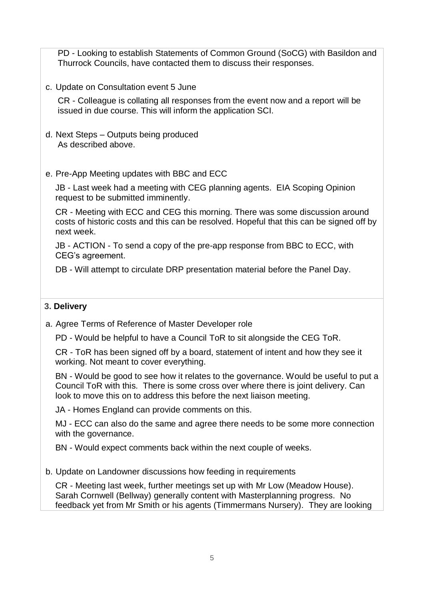PD - Looking to establish Statements of Common Ground (SoCG) with Basildon and Thurrock Councils, have contacted them to discuss their responses.

c. Update on Consultation event 5 June

CR - Colleague is collating all responses from the event now and a report will be issued in due course. This will inform the application SCI.

d. Next Steps – Outputs being produced As described above.

#### e. Pre-App Meeting updates with BBC and ECC

JB - Last week had a meeting with CEG planning agents. EIA Scoping Opinion request to be submitted imminently.

CR - Meeting with ECC and CEG this morning. There was some discussion around costs of historic costs and this can be resolved. Hopeful that this can be signed off by next week.

JB - ACTION - To send a copy of the pre-app response from BBC to ECC, with CEG's agreement.

DB - Will attempt to circulate DRP presentation material before the Panel Day.

#### **3. Delivery**

a. Agree Terms of Reference of Master Developer role

PD - Would be helpful to have a Council ToR to sit alongside the CEG ToR.

CR - ToR has been signed off by a board, statement of intent and how they see it working. Not meant to cover everything.

BN - Would be good to see how it relates to the governance. Would be useful to put a Council ToR with this. There is some cross over where there is joint delivery. Can look to move this on to address this before the next liaison meeting.

JA - Homes England can provide comments on this.

MJ - ECC can also do the same and agree there needs to be some more connection with the governance.

BN - Would expect comments back within the next couple of weeks.

b. Update on Landowner discussions how feeding in requirements

CR - Meeting last week, further meetings set up with Mr Low (Meadow House). Sarah Cornwell (Bellway) generally content with Masterplanning progress. No feedback yet from Mr Smith or his agents (Timmermans Nursery). They are looking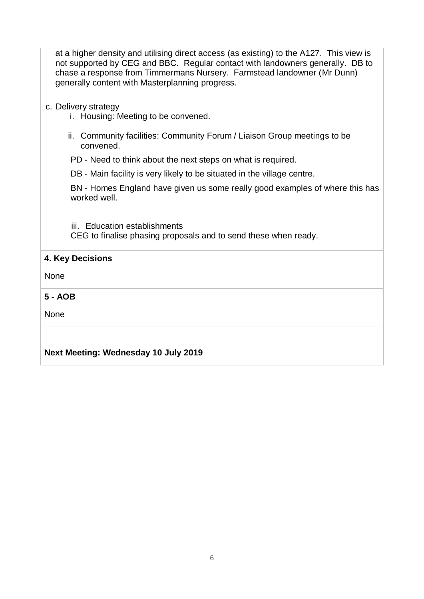at a higher density and utilising direct access (as existing) to the A127. This view is not supported by CEG and BBC. Regular contact with landowners generally. DB to chase a response from Timmermans Nursery. Farmstead landowner (Mr Dunn) generally content with Masterplanning progress.

- c. Delivery strategy
	- i. Housing: Meeting to be convened.
	- ii. Community facilities: Community Forum / Liaison Group meetings to be convened.

PD - Need to think about the next steps on what is required.

DB - Main facility is very likely to be situated in the village centre.

BN - Homes England have given us some really good examples of where this has worked well.

iii. Education establishments CEG to finalise phasing proposals and to send these when ready.

# **4. Key Decisions**

None

**5 - AOB**

None

# **Next Meeting: Wednesday 10 July 2019**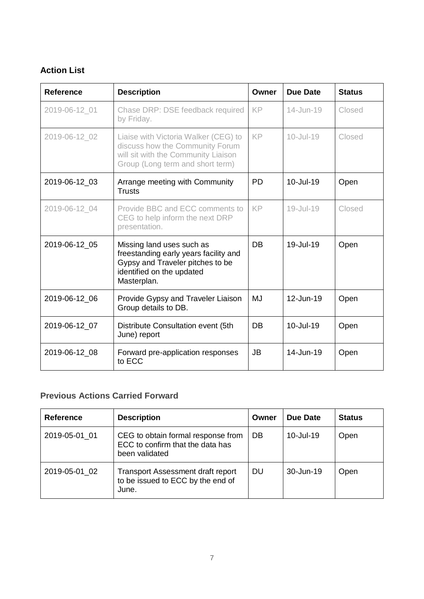# **Action List**

| <b>Reference</b> | <b>Description</b>                                                                                                                                 | Owner     | <b>Due Date</b> | <b>Status</b> |
|------------------|----------------------------------------------------------------------------------------------------------------------------------------------------|-----------|-----------------|---------------|
| 2019-06-12 01    | Chase DRP: DSE feedback required<br>by Friday.                                                                                                     | KP.       | 14-Jun-19       | Closed        |
| 2019-06-12 02    | Liaise with Victoria Walker (CEG) to<br>discuss how the Community Forum<br>will sit with the Community Liaison<br>Group (Long term and short term) | <b>KP</b> | $10 -$ Jul-19   | Closed        |
| 2019-06-12 03    | Arrange meeting with Community<br><b>Trusts</b>                                                                                                    | <b>PD</b> | 10-Jul-19       | Open          |
| 2019-06-12_04    | Provide BBC and ECC comments to<br>CEG to help inform the next DRP<br>presentation.                                                                | KP        | $19 -$ Jul-19   | Closed        |
| 2019-06-12 05    | Missing land uses such as<br>freestanding early years facility and<br>Gypsy and Traveler pitches to be<br>identified on the updated<br>Masterplan. | <b>DB</b> | 19-Jul-19       | Open          |
| 2019-06-12 06    | Provide Gypsy and Traveler Liaison<br>Group details to DB.                                                                                         | <b>MJ</b> | 12-Jun-19       | Open          |
| 2019-06-12_07    | Distribute Consultation event (5th<br>June) report                                                                                                 | DB        | 10-Jul-19       | Open          |
| 2019-06-12_08    | Forward pre-application responses<br>to ECC                                                                                                        | <b>JB</b> | 14-Jun-19       | Open          |

# **Previous Actions Carried Forward**

| <b>Reference</b> | <b>Description</b>                                                                       | Owner | Due Date  | <b>Status</b> |
|------------------|------------------------------------------------------------------------------------------|-------|-----------|---------------|
| 2019-05-01 01    | CEG to obtain formal response from<br>ECC to confirm that the data has<br>been validated | DB    | 10-Jul-19 | Open          |
| 2019-05-01 02    | <b>Transport Assessment draft report</b><br>to be issued to ECC by the end of<br>June.   | DU    | 30-Jun-19 | Open          |